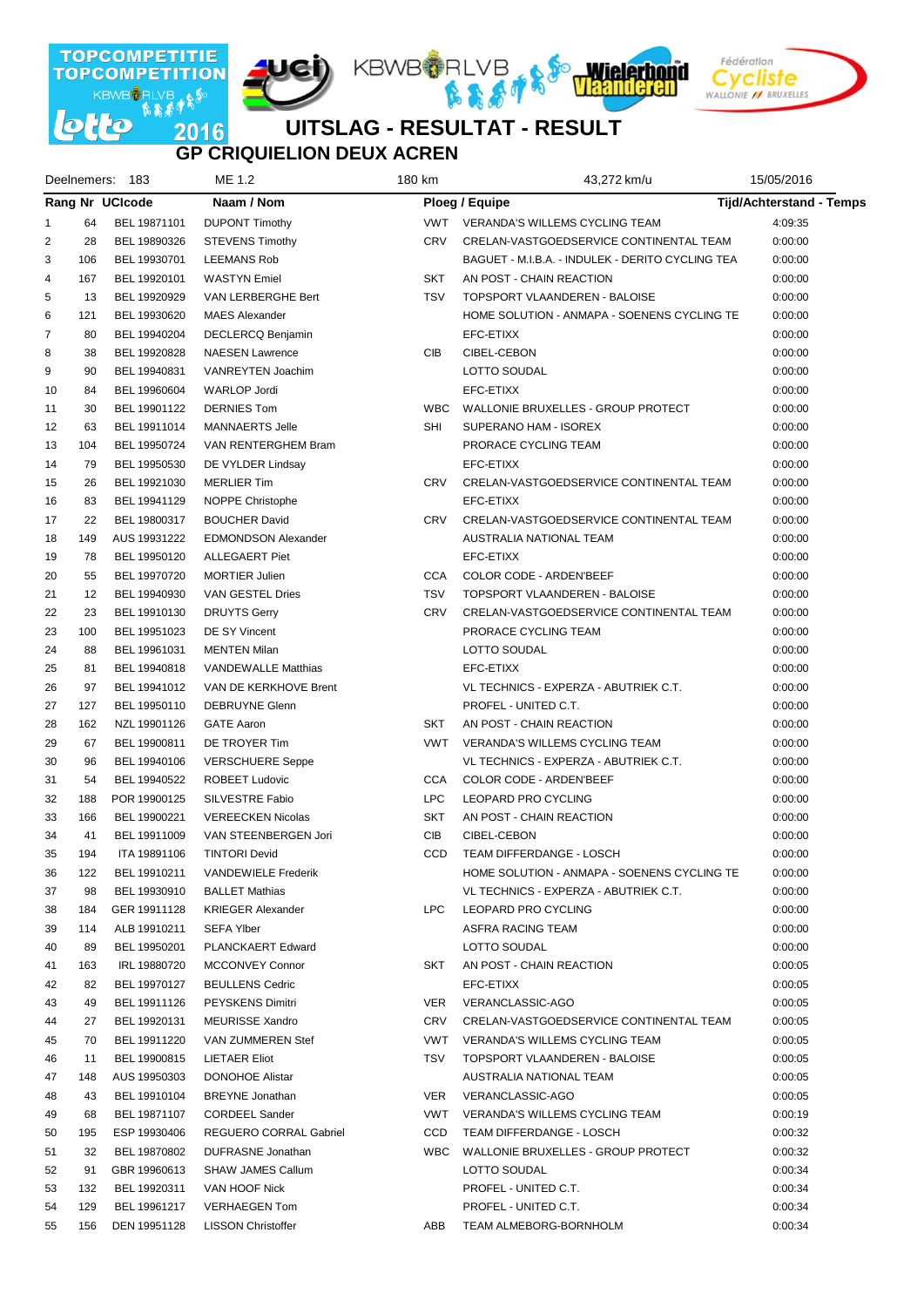

### **GP CRIQUIELION DEUX ACREN UITSLAG - RESULTAT - RESULT**

|                |     | Deelnemers: 183        | ME 1.2                     | 180 km     | 43,272 km/u                                      | 15/05/2016                      |
|----------------|-----|------------------------|----------------------------|------------|--------------------------------------------------|---------------------------------|
|                |     | <b>Rang Nr UCIcode</b> | Naam / Nom                 |            | Ploeg / Equipe                                   | <b>Tijd/Achterstand - Temps</b> |
| 1              | 64  | BEL 19871101           | <b>DUPONT Timothy</b>      | <b>VWT</b> | VERANDA'S WILLEMS CYCLING TEAM                   | 4:09:35                         |
| $\overline{2}$ | 28  | BEL 19890326           | <b>STEVENS Timothy</b>     | <b>CRV</b> | CRELAN-VASTGOEDSERVICE CONTINENTAL TEAM          | 0:00:00                         |
| 3              | 106 | BEL 19930701           | <b>LEEMANS Rob</b>         |            | BAGUET - M.I.B.A. - INDULEK - DERITO CYCLING TEA | 0:00:00                         |
| 4              | 167 | BEL 19920101           | <b>WASTYN</b> Emiel        | <b>SKT</b> | AN POST - CHAIN REACTION                         | 0:00:00                         |
| 5              | 13  | BEL 19920929           | VAN LERBERGHE Bert         | <b>TSV</b> | TOPSPORT VLAANDEREN - BALOISE                    | 0:00:00                         |
| 6              | 121 | BEL 19930620           | <b>MAES Alexander</b>      |            | HOME SOLUTION - ANMAPA - SOENENS CYCLING TE      | 0:00:00                         |
| 7              | 80  | BEL 19940204           | DECLERCQ Benjamin          |            | EFC-ETIXX                                        | 0:00:00                         |
| 8              | 38  | BEL 19920828           | <b>NAESEN Lawrence</b>     | CIB        | CIBEL-CEBON                                      | 0:00:00                         |
| 9              | 90  | BEL 19940831           | VANREYTEN Joachim          |            | LOTTO SOUDAL                                     | 0:00:00                         |
| 10             | 84  | BEL 19960604           | <b>WARLOP Jordi</b>        |            | EFC-ETIXX                                        | 0:00:00                         |
| 11             | 30  | BEL 19901122           | <b>DERNIES Tom</b>         | <b>WBC</b> | WALLONIE BRUXELLES - GROUP PROTECT               | 0:00:00                         |
| 12             | 63  | BEL 19911014           | MANNAERTS Jelle            | SHI        | SUPERANO HAM - ISOREX                            | 0:00:00                         |
| 13             | 104 | BEL 19950724           | VAN RENTERGHEM Bram        |            | PRORACE CYCLING TEAM                             | 0:00:00                         |
| 14             | 79  | BEL 19950530           | DE VYLDER Lindsay          |            | EFC-ETIXX                                        | 0:00:00                         |
| 15             | 26  | BEL 19921030           | <b>MERLIER Tim</b>         | CRV        | CRELAN-VASTGOEDSERVICE CONTINENTAL TEAM          | 0:00:00                         |
| 16             | 83  | BEL 19941129           | NOPPE Christophe           |            | EFC-ETIXX                                        | 0:00:00                         |
| 17             | 22  | BEL 19800317           | <b>BOUCHER David</b>       | CRV        | CRELAN-VASTGOEDSERVICE CONTINENTAL TEAM          | 0:00:00                         |
| 18             | 149 | AUS 19931222           | <b>EDMONDSON Alexander</b> |            | AUSTRALIA NATIONAL TEAM                          | 0:00:00                         |
| 19             | 78  | BEL 19950120           | <b>ALLEGAERT Piet</b>      |            | EFC-ETIXX                                        | 0:00:00                         |
| 20             | 55  | BEL 19970720           | <b>MORTIER Julien</b>      | CCA        | <b>COLOR CODE - ARDEN'BEEF</b>                   | 0:00:00                         |
| 21             | 12  | BEL 19940930           | VAN GESTEL Dries           | <b>TSV</b> | TOPSPORT VLAANDEREN - BALOISE                    | 0:00:00                         |
| 22             | 23  | BEL 19910130           | <b>DRUYTS Gerry</b>        | CRV        | CRELAN-VASTGOEDSERVICE CONTINENTAL TEAM          | 0:00:00                         |
| 23             | 100 | BEL 19951023           | DE SY Vincent              |            | PRORACE CYCLING TEAM                             | 0:00:00                         |
| 24             | 88  | BEL 19961031           | <b>MENTEN Milan</b>        |            | LOTTO SOUDAL                                     | 0:00:00                         |
| 25             | 81  | BEL 19940818           | <b>VANDEWALLE Matthias</b> |            | EFC-ETIXX                                        | 0:00:00                         |
| 26             | 97  | BEL 19941012           | VAN DE KERKHOVE Brent      |            | VL TECHNICS - EXPERZA - ABUTRIEK C.T.            | 0:00:00                         |
| 27             | 127 | BEL 19950110           | <b>DEBRUYNE Glenn</b>      |            | PROFEL - UNITED C.T.                             | 0:00:00                         |
| 28             | 162 | NZL 19901126           | <b>GATE Aaron</b>          | SKT        | AN POST - CHAIN REACTION                         | 0:00:00                         |
| 29             | 67  | BEL 19900811           | DE TROYER Tim              | <b>VWT</b> | VERANDA'S WILLEMS CYCLING TEAM                   | 0:00:00                         |
| 30             | 96  | BEL 19940106           | <b>VERSCHUERE Seppe</b>    |            | VL TECHNICS - EXPERZA - ABUTRIEK C.T.            | 0:00:00                         |
| 31             | 54  | BEL 19940522           | <b>ROBEET Ludovic</b>      | <b>CCA</b> | COLOR CODE - ARDEN'BEEF                          | 0:00:00                         |
| 32             | 188 | POR 19900125           | SILVESTRE Fabio            | <b>LPC</b> | LEOPARD PRO CYCLING                              | 0:00:00                         |
| 33             | 166 | BEL 19900221           | <b>VEREECKEN Nicolas</b>   | SKT        | AN POST - CHAIN REACTION                         | 0:00:00                         |
| 34             | 41  | BEL 19911009           | VAN STEENBERGEN Jori       | CIB        | CIBEL-CEBON                                      | 0:00:00                         |
| 35             | 194 | ITA 19891106           | <b>TINTORI Devid</b>       | CCD        | TEAM DIFFERDANGE - LOSCH                         | 0:00:00                         |
| 36             | 122 | BEL 19910211           | <b>VANDEWIELE Frederik</b> |            | HOME SOLUTION - ANMAPA - SOENENS CYCLING TE      | 0:00:00                         |
| 37             | 98  | BEL 19930910           | <b>BALLET Mathias</b>      |            | VL TECHNICS - EXPERZA - ABUTRIEK C.T.            | 0:00:00                         |
| 38             | 184 | GER 19911128           | <b>KRIEGER Alexander</b>   | LPC        | LEOPARD PRO CYCLING                              | 0:00:00                         |
| 39             | 114 | ALB 19910211           | <b>SEFA Ylber</b>          |            | ASFRA RACING TEAM                                | 0:00:00                         |
| 40             | 89  | BEL 19950201           | PLANCKAERT Edward          |            | LOTTO SOUDAL                                     | 0:00:00                         |
| 41             | 163 | IRL 19880720           | <b>MCCONVEY Connor</b>     | SKT        | AN POST - CHAIN REACTION                         | 0:00:05                         |
| 42             | 82  | BEL 19970127           | <b>BEULLENS Cedric</b>     |            | EFC-ETIXX                                        | 0:00:05                         |
| 43             | 49  | BEL 19911126           | PEYSKENS Dimitri           | <b>VER</b> | VERANCLASSIC-AGO                                 | 0:00:05                         |
| 44             | 27  | BEL 19920131           | <b>MEURISSE Xandro</b>     | CRV        | CRELAN-VASTGOEDSERVICE CONTINENTAL TEAM          | 0:00:05                         |
| 45             | 70  | BEL 19911220           | VAN ZUMMEREN Stef          | VWT        | VERANDA'S WILLEMS CYCLING TEAM                   | 0:00:05                         |
| 46             | 11  | BEL 19900815           | <b>LIETAER Eliot</b>       | TSV        | TOPSPORT VLAANDEREN - BALOISE                    | 0:00:05                         |
| 47             | 148 | AUS 19950303           | <b>DONOHOE Alistar</b>     |            | AUSTRALIA NATIONAL TEAM                          | 0:00:05                         |
| 48             | 43  | BEL 19910104           | <b>BREYNE</b> Jonathan     | VER        | VERANCLASSIC-AGO                                 | 0:00:05                         |
| 49             | 68  | BEL 19871107           | <b>CORDEEL Sander</b>      | VWT        | VERANDA'S WILLEMS CYCLING TEAM                   | 0:00:19                         |
| 50             | 195 | ESP 19930406           | REGUERO CORRAL Gabriel     | CCD        | TEAM DIFFERDANGE - LOSCH                         | 0:00:32                         |
| 51             | 32  | BEL 19870802           | DUFRASNE Jonathan          | <b>WBC</b> | WALLONIE BRUXELLES - GROUP PROTECT               | 0:00:32                         |
| 52             | 91  | GBR 19960613           | <b>SHAW JAMES Callum</b>   |            | LOTTO SOUDAL                                     | 0:00:34                         |
| 53             | 132 | BEL 19920311           | VAN HOOF Nick              |            | PROFEL - UNITED C.T.                             | 0:00:34                         |
| 54             | 129 | BEL 19961217           | <b>VERHAEGEN Tom</b>       |            | PROFEL - UNITED C.T.                             | 0:00:34                         |
| 55             | 156 | DEN 19951128           | <b>LISSON Christoffer</b>  | ABB        | TEAM ALMEBORG-BORNHOLM                           | 0:00:34                         |
|                |     |                        |                            |            |                                                  |                                 |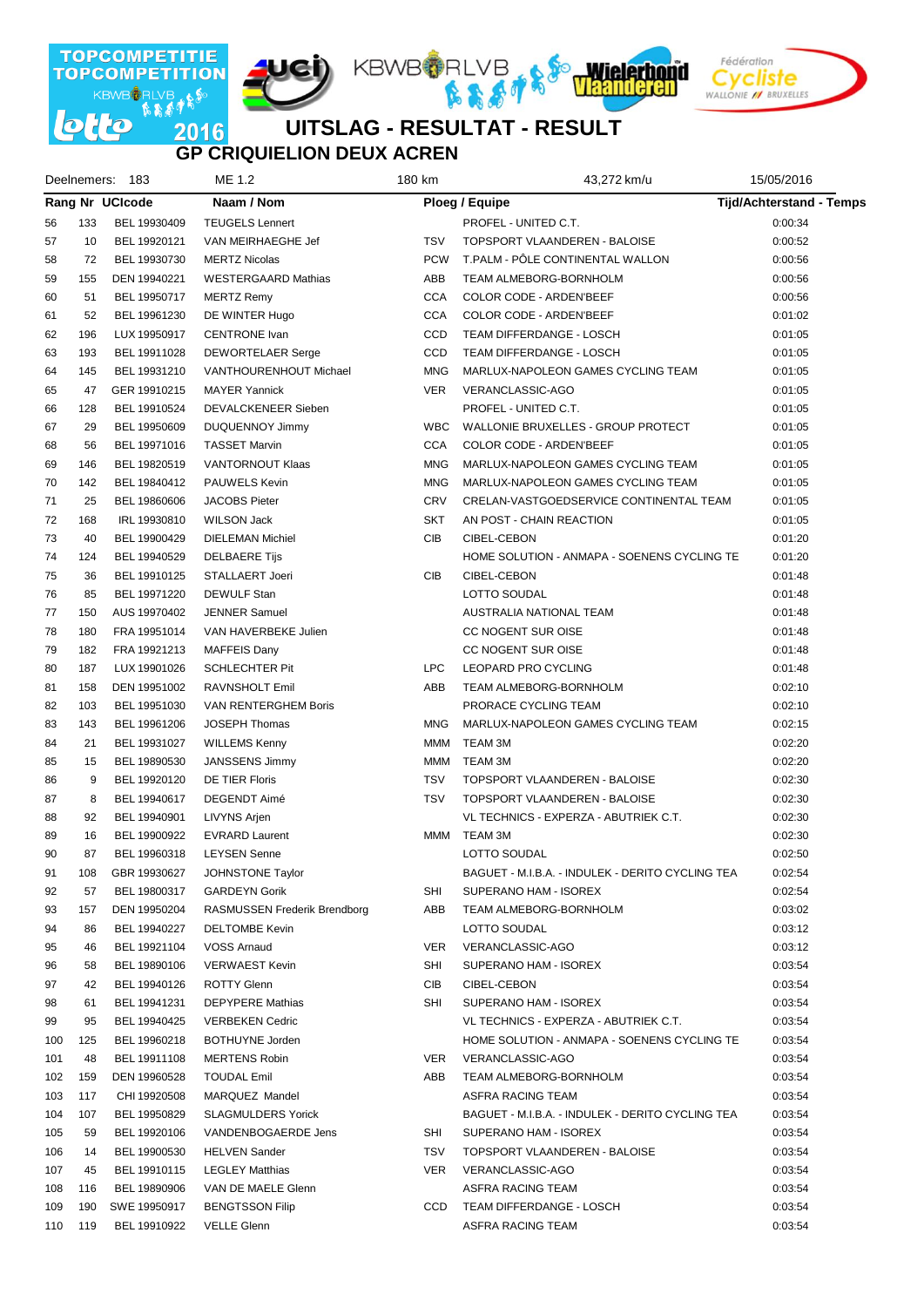

# **GP CRIQUIELION DEUX ACREN**

|     |     | Deelnemers: 183 | ME 1.2                       | 180 km |                          | 43,272 km/u                                      | 15/05/2016                      |  |
|-----|-----|-----------------|------------------------------|--------|--------------------------|--------------------------------------------------|---------------------------------|--|
|     |     | Rang Nr UCIcode | Naam / Nom                   |        |                          | Ploeg / Equipe                                   | <b>Tijd/Achterstand - Temps</b> |  |
| 56  | 133 | BEL 19930409    | <b>TEUGELS Lennert</b>       |        |                          | PROFEL - UNITED C.T.                             | 0:00:34                         |  |
| 57  | 10  | BEL 19920121    | VAN MEIRHAEGHE Jef           |        | <b>TSV</b>               | TOPSPORT VLAANDEREN - BALOISE                    | 0:00:52                         |  |
| 58  | 72  | BEL 19930730    | <b>MERTZ Nicolas</b>         |        | <b>PCW</b>               | T.PALM - PÖLE CONTINENTAL WALLON                 | 0:00:56                         |  |
| 59  | 155 | DEN 19940221    | <b>WESTERGAARD Mathias</b>   |        | ABB                      | TEAM ALMEBORG-BORNHOLM                           | 0:00:56                         |  |
| 60  | 51  | BEL 19950717    | <b>MERTZ Remy</b>            |        | <b>CCA</b>               | COLOR CODE - ARDEN'BEEF                          | 0:00:56                         |  |
| 61  | 52  | BEL 19961230    | DE WINTER Hugo               |        | <b>CCA</b>               | COLOR CODE - ARDEN'BEEF                          | 0:01:02                         |  |
| 62  | 196 | LUX 19950917    | <b>CENTRONE</b> Ivan         |        | CCD                      | TEAM DIFFERDANGE - LOSCH                         | 0:01:05                         |  |
| 63  | 193 | BEL 19911028    | <b>DEWORTELAER Serge</b>     |        | CCD                      | TEAM DIFFERDANGE - LOSCH                         | 0:01:05                         |  |
| 64  | 145 | BEL 19931210    | VANTHOURENHOUT Michael       |        | <b>MNG</b>               | MARLUX-NAPOLEON GAMES CYCLING TEAM               | 0:01:05                         |  |
| 65  | 47  | GER 19910215    | <b>MAYER Yannick</b>         |        | <b>VER</b>               | VERANCLASSIC-AGO                                 | 0:01:05                         |  |
| 66  | 128 | BEL 19910524    | DEVALCKENEER Sieben          |        |                          | PROFEL - UNITED C.T.                             | 0:01:05                         |  |
| 67  | 29  | BEL 19950609    | <b>DUQUENNOY Jimmy</b>       |        | <b>WBC</b>               | WALLONIE BRUXELLES - GROUP PROTECT               | 0:01:05                         |  |
| 68  | 56  | BEL 19971016    | <b>TASSET Marvin</b>         |        | <b>CCA</b>               | COLOR CODE - ARDEN'BEEF                          | 0:01:05                         |  |
| 69  | 146 | BEL 19820519    | VANTORNOUT Klaas             |        | <b>MNG</b>               | MARLUX-NAPOLEON GAMES CYCLING TEAM               | 0:01:05                         |  |
| 70  | 142 | BEL 19840412    | <b>PAUWELS Kevin</b>         |        | <b>MNG</b>               | MARLUX-NAPOLEON GAMES CYCLING TEAM               | 0:01:05                         |  |
| 71  | 25  | BEL 19860606    | <b>JACOBS Pieter</b>         |        | <b>CRV</b>               | CRELAN-VASTGOEDSERVICE CONTINENTAL TEAM          | 0:01:05                         |  |
| 72  | 168 | IRL 19930810    | <b>WILSON Jack</b>           |        | SKT                      | AN POST - CHAIN REACTION                         | 0:01:05                         |  |
| 73  | 40  | BEL 19900429    | <b>DIELEMAN Michiel</b>      |        | CIB                      | CIBEL-CEBON                                      | 0:01:20                         |  |
| 74  | 124 | BEL 19940529    | <b>DELBAERE Tijs</b>         |        |                          | HOME SOLUTION - ANMAPA - SOENENS CYCLING TE      | 0:01:20                         |  |
| 75  | 36  | BEL 19910125    | STALLAERT Joeri              |        | CIB                      | CIBEL-CEBON                                      | 0:01:48                         |  |
| 76  | 85  | BEL 19971220    | <b>DEWULF Stan</b>           |        |                          | <b>LOTTO SOUDAL</b>                              | 0:01:48                         |  |
| 77  | 150 | AUS 19970402    | <b>JENNER Samuel</b>         |        |                          | AUSTRALIA NATIONAL TEAM                          | 0:01:48                         |  |
| 78  | 180 | FRA 19951014    | VAN HAVERBEKE Julien         |        |                          | CC NOGENT SUR OISE                               | 0:01:48                         |  |
| 79  | 182 | FRA 19921213    | <b>MAFFEIS Dany</b>          |        |                          | CC NOGENT SUR OISE                               | 0:01:48                         |  |
| 80  | 187 | LUX 19901026    | <b>SCHLECHTER Pit</b>        |        | <b>LPC</b>               | <b>LEOPARD PRO CYCLING</b>                       | 0:01:48                         |  |
| 81  | 158 | DEN 19951002    | RAVNSHOLT Emil               |        | ABB                      | <b>TEAM ALMEBORG-BORNHOLM</b>                    | 0:02:10                         |  |
| 82  | 103 | BEL 19951030    | VAN RENTERGHEM Boris         |        |                          | PRORACE CYCLING TEAM                             | 0:02:10                         |  |
|     |     |                 |                              |        |                          |                                                  |                                 |  |
| 83  | 143 | BEL 19961206    | JOSEPH Thomas                |        | <b>MNG</b><br><b>MMM</b> | MARLUX-NAPOLEON GAMES CYCLING TEAM               | 0:02:15                         |  |
| 84  | 21  | BEL 19931027    | <b>WILLEMS Kenny</b>         |        |                          | TEAM 3M                                          | 0:02:20                         |  |
| 85  | 15  | BEL 19890530    | <b>JANSSENS Jimmy</b>        |        | <b>MMM</b>               | TEAM 3M                                          | 0:02:20                         |  |
| 86  | 9   | BEL 19920120    | DE TIER Floris               |        | <b>TSV</b>               | TOPSPORT VLAANDEREN - BALOISE                    | 0:02:30                         |  |
| 87  | 8   | BEL 19940617    | DEGENDT Aimé                 |        | <b>TSV</b>               | TOPSPORT VLAANDEREN - BALOISE                    | 0:02:30                         |  |
| 88  | 92  | BEL 19940901    | LIVYNS Arjen                 |        |                          | VL TECHNICS - EXPERZA - ABUTRIEK C.T.            | 0:02:30                         |  |
| 89  | 16  | BEL 19900922    | <b>EVRARD Laurent</b>        |        | MMM                      | TEAM 3M                                          | 0:02:30                         |  |
| 90  | 87  | BEL 19960318    | <b>LEYSEN Senne</b>          |        |                          | LOTTO SOUDAL                                     | 0:02:50                         |  |
| 91  | 108 | GBR 19930627    | JOHNSTONE Taylor             |        |                          | BAGUET - M.I.B.A. - INDULEK - DERITO CYCLING TEA | 0:02:54                         |  |
| 92  | 57  | BEL 19800317    | <b>GARDEYN Gorik</b>         |        | SHI                      | SUPERANO HAM - ISOREX                            | 0:02:54                         |  |
| 93  | 157 | DEN 19950204    | RASMUSSEN Frederik Brendborg |        | ABB                      | <b>TEAM ALMEBORG-BORNHOLM</b>                    | 0:03:02                         |  |
| 94  | 86  | BEL 19940227    | <b>DELTOMBE Kevin</b>        |        |                          | LOTTO SOUDAL                                     | 0:03:12                         |  |
| 95  | 46  | BEL 19921104    | VOSS Arnaud                  |        | <b>VER</b>               | VERANCLASSIC-AGO                                 | 0:03:12                         |  |
| 96  | 58  | BEL 19890106    | <b>VERWAEST Kevin</b>        |        | SHI                      | SUPERANO HAM - ISOREX                            | 0:03:54                         |  |
| 97  | 42  | BEL 19940126    | <b>ROTTY Glenn</b>           |        | CIB                      | CIBEL-CEBON                                      | 0:03:54                         |  |
| 98  | 61  | BEL 19941231    | <b>DEPYPERE Mathias</b>      |        | SHI                      | SUPERANO HAM - ISOREX                            | 0:03:54                         |  |
| 99  | 95  | BEL 19940425    | <b>VERBEKEN Cedric</b>       |        |                          | VL TECHNICS - EXPERZA - ABUTRIEK C.T.            | 0:03:54                         |  |
| 100 | 125 | BEL 19960218    | BOTHUYNE Jorden              |        |                          | HOME SOLUTION - ANMAPA - SOENENS CYCLING TE      | 0:03:54                         |  |
| 101 | 48  | BEL 19911108    | <b>MERTENS Robin</b>         |        | <b>VER</b>               | VERANCLASSIC-AGO                                 | 0:03:54                         |  |
| 102 | 159 | DEN 19960528    | <b>TOUDAL Emil</b>           |        | ABB                      | TEAM ALMEBORG-BORNHOLM                           | 0:03:54                         |  |
| 103 | 117 | CHI 19920508    | MARQUEZ Mandel               |        |                          | ASFRA RACING TEAM                                | 0:03:54                         |  |
| 104 | 107 | BEL 19950829    | <b>SLAGMULDERS Yorick</b>    |        |                          | BAGUET - M.I.B.A. - INDULEK - DERITO CYCLING TEA | 0:03:54                         |  |
| 105 | 59  | BEL 19920106    | VANDENBOGAERDE Jens          |        | SHI                      | SUPERANO HAM - ISOREX                            | 0:03:54                         |  |
| 106 | 14  | BEL 19900530    | <b>HELVEN Sander</b>         |        | TSV                      | TOPSPORT VLAANDEREN - BALOISE                    | 0:03:54                         |  |
| 107 | 45  | BEL 19910115    | <b>LEGLEY Matthias</b>       |        | <b>VER</b>               | VERANCLASSIC-AGO                                 | 0:03:54                         |  |
| 108 | 116 | BEL 19890906    | VAN DE MAELE Glenn           |        |                          | ASFRA RACING TEAM                                | 0:03:54                         |  |
| 109 | 190 | SWE 19950917    | <b>BENGTSSON Filip</b>       |        | CCD                      | TEAM DIFFERDANGE - LOSCH                         | 0:03:54                         |  |
| 110 | 119 | BEL 19910922    | <b>VELLE Glenn</b>           |        |                          | ASFRA RACING TEAM                                | 0:03:54                         |  |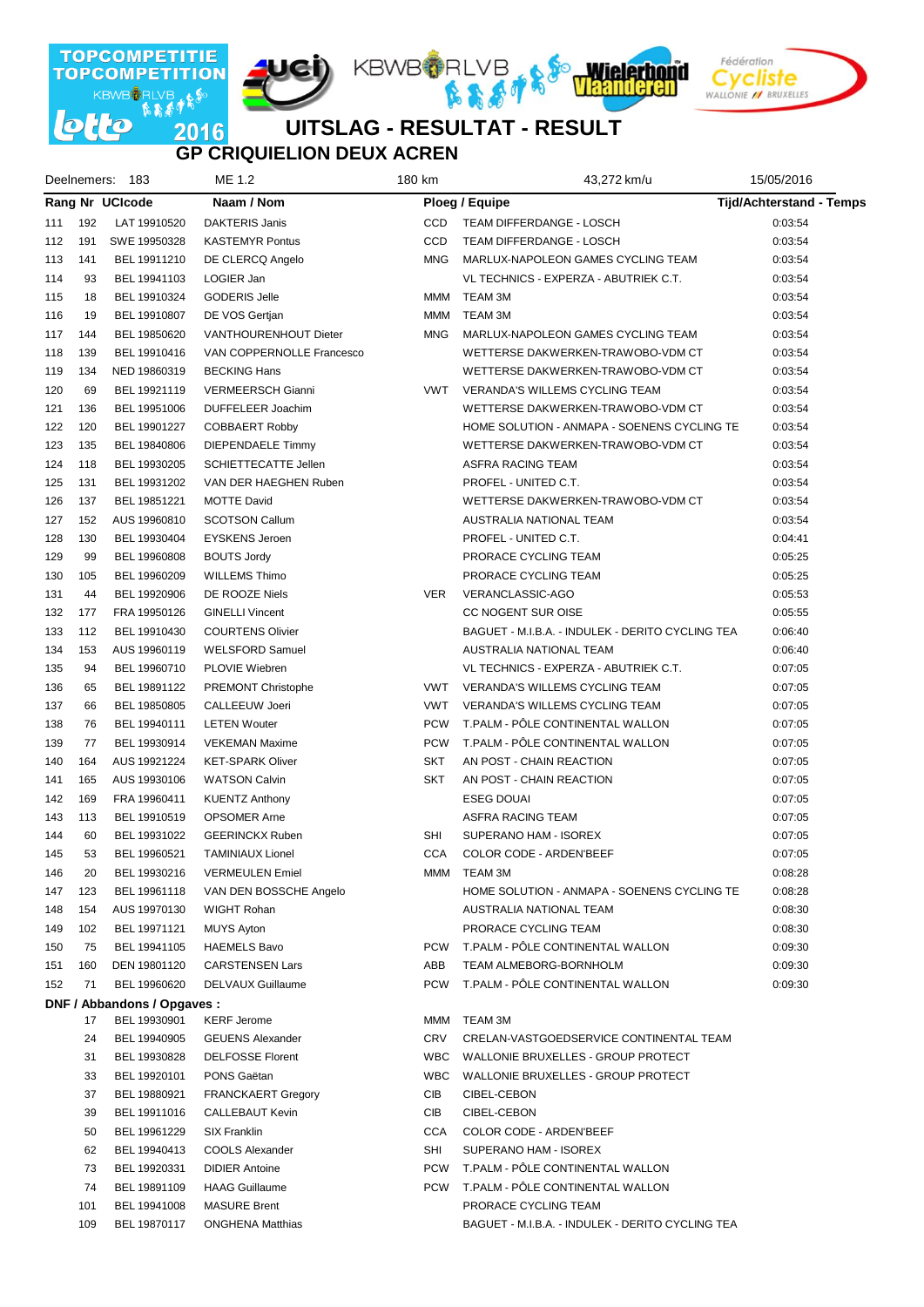

#### **UITSLAG - RESULTAT - RESULT GP CRIQUIELION DEUX ACREN**

| Deelnemers: 183 |     |                             | ME 1.2                    |  | 180 km     | 43,272 km/u                                      | 15/05/2016                      |  |
|-----------------|-----|-----------------------------|---------------------------|--|------------|--------------------------------------------------|---------------------------------|--|
|                 |     | <b>Rang Nr UCIcode</b>      | Naam / Nom                |  |            | Ploeg / Equipe                                   | <b>Tijd/Achterstand - Temps</b> |  |
| 111             | 192 | LAT 19910520                | <b>DAKTERIS Janis</b>     |  | <b>CCD</b> | TEAM DIFFERDANGE - LOSCH                         | 0:03:54                         |  |
| 112             | 191 | SWE 19950328                | <b>KASTEMYR Pontus</b>    |  | CCD        | TEAM DIFFERDANGE - LOSCH                         | 0:03:54                         |  |
| 113             | 141 | BEL 19911210                | DE CLERCQ Angelo          |  | <b>MNG</b> | MARLUX-NAPOLEON GAMES CYCLING TEAM               | 0:03:54                         |  |
| 114             | 93  | BEL 19941103                | LOGIER Jan                |  |            | VL TECHNICS - EXPERZA - ABUTRIEK C.T.            | 0:03:54                         |  |
| 115             | 18  | BEL 19910324                | <b>GODERIS Jelle</b>      |  | MMM        | TEAM 3M                                          | 0:03:54                         |  |
| 116             | 19  | BEL 19910807                | DE VOS Gertjan            |  | MMM        | TEAM 3M                                          | 0:03:54                         |  |
| 117             | 144 | BEL 19850620                | VANTHOURENHOUT Dieter     |  | <b>MNG</b> | MARLUX-NAPOLEON GAMES CYCLING TEAM               | 0:03:54                         |  |
| 118             | 139 | BEL 19910416                | VAN COPPERNOLLE Francesco |  |            | WETTERSE DAKWERKEN-TRAWOBO-VDM CT                | 0:03:54                         |  |
| 119             | 134 | NED 19860319                | <b>BECKING Hans</b>       |  |            | WETTERSE DAKWERKEN-TRAWOBO-VDM CT                | 0:03:54                         |  |
| 120             | 69  | BEL 19921119                | <b>VERMEERSCH Gianni</b>  |  | VWT        | VERANDA'S WILLEMS CYCLING TEAM                   | 0:03:54                         |  |
| 121             | 136 | BEL 19951006                | DUFFELEER Joachim         |  |            | WETTERSE DAKWERKEN-TRAWOBO-VDM CT                | 0:03:54                         |  |
| 122             | 120 | BEL 19901227                | <b>COBBAERT Robby</b>     |  |            | HOME SOLUTION - ANMAPA - SOENENS CYCLING TE      | 0:03:54                         |  |
| 123             | 135 | BEL 19840806                | <b>DIEPENDAELE Timmy</b>  |  |            | WETTERSE DAKWERKEN-TRAWOBO-VDM CT                | 0:03:54                         |  |
| 124             | 118 | BEL 19930205                | SCHIETTECATTE Jellen      |  |            | ASFRA RACING TEAM                                | 0:03:54                         |  |
| 125             | 131 | BEL 19931202                | VAN DER HAEGHEN Ruben     |  |            | PROFEL - UNITED C.T.                             | 0:03:54                         |  |
| 126             | 137 | BEL 19851221                | <b>MOTTE David</b>        |  |            | WETTERSE DAKWERKEN-TRAWOBO-VDM CT                | 0:03:54                         |  |
| 127             | 152 | AUS 19960810                | <b>SCOTSON Callum</b>     |  |            | AUSTRALIA NATIONAL TEAM                          | 0:03:54                         |  |
| 128             | 130 | BEL 19930404                | <b>EYSKENS Jeroen</b>     |  |            | PROFEL - UNITED C.T.                             | 0:04:41                         |  |
| 129             | 99  | BEL 19960808                | <b>BOUTS Jordy</b>        |  |            | PRORACE CYCLING TEAM                             | 0:05:25                         |  |
| 130             | 105 | BEL 19960209                | <b>WILLEMS Thimo</b>      |  |            | PRORACE CYCLING TEAM                             | 0:05:25                         |  |
| 131             | 44  | BEL 19920906                | DE ROOZE Niels            |  | <b>VER</b> | VERANCLASSIC-AGO                                 | 0:05:53                         |  |
| 132             | 177 | FRA 19950126                | <b>GINELLI Vincent</b>    |  |            | CC NOGENT SUR OISE                               | 0:05:55                         |  |
| 133             | 112 | BEL 19910430                | <b>COURTENS Olivier</b>   |  |            | BAGUET - M.I.B.A. - INDULEK - DERITO CYCLING TEA | 0:06:40                         |  |
| 134             | 153 | AUS 19960119                | <b>WELSFORD Samuel</b>    |  |            | AUSTRALIA NATIONAL TEAM                          | 0:06:40                         |  |
| 135             | 94  | BEL 19960710                | PLOVIE Wiebren            |  |            | VL TECHNICS - EXPERZA - ABUTRIEK C.T.            | 0:07:05                         |  |
| 136             | 65  | BEL 19891122                | PREMONT Christophe        |  | <b>VWT</b> | <b>VERANDA'S WILLEMS CYCLING TEAM</b>            | 0:07:05                         |  |
| 137             | 66  | BEL 19850805                | CALLEEUW Joeri            |  | <b>VWT</b> | <b>VERANDA'S WILLEMS CYCLING TEAM</b>            | 0:07:05                         |  |
| 138             | 76  | BEL 19940111                | <b>LETEN Wouter</b>       |  | <b>PCW</b> | T.PALM - PÔLE CONTINENTAL WALLON                 | 0:07:05                         |  |
| 139             | 77  | BEL 19930914                | <b>VEKEMAN Maxime</b>     |  | <b>PCW</b> | T.PALM - PÔLE CONTINENTAL WALLON                 | 0:07:05                         |  |
| 140             | 164 | AUS 19921224                | <b>KET-SPARK Oliver</b>   |  | <b>SKT</b> | AN POST - CHAIN REACTION                         | 0:07:05                         |  |
| 141             | 165 | AUS 19930106                | <b>WATSON Calvin</b>      |  | <b>SKT</b> | AN POST - CHAIN REACTION                         | 0:07:05                         |  |
| 142             | 169 | FRA 19960411                | <b>KUENTZ Anthony</b>     |  |            | <b>ESEG DOUAI</b>                                | 0:07:05                         |  |
| 143             | 113 | BEL 19910519                | <b>OPSOMER Arne</b>       |  |            | ASFRA RACING TEAM                                | 0:07:05                         |  |
| 144             | 60  | BEL 19931022                | <b>GEERINCKX Ruben</b>    |  | SHI        | SUPERANO HAM - ISOREX                            | 0:07:05                         |  |
| 145             | 53  | BEL 19960521                | <b>TAMINIAUX Lionel</b>   |  | <b>CCA</b> | <b>COLOR CODE - ARDEN'BEEF</b>                   | 0:07:05                         |  |
| 146             | 20  | BEL 19930216                | <b>VERMEULEN Emiel</b>    |  | MMM        | TEAM 3M                                          | 0:08:28                         |  |
| 147             | 123 | BEL 19961118                | VAN DEN BOSSCHE Angelo    |  |            | HOME SOLUTION - ANMAPA - SOENENS CYCLING TE      | 0:08:28                         |  |
| 148             | 154 | AUS 19970130                | WIGHT Rohan               |  |            | AUSTRALIA NATIONAL TEAM                          | 0:08:30                         |  |
| 149             | 102 | BEL 19971121                | <b>MUYS Ayton</b>         |  |            | PRORACE CYCLING TEAM                             | 0:08:30                         |  |
| 150             | 75  | BEL 19941105                | <b>HAEMELS Bavo</b>       |  | <b>PCW</b> | T.PALM - PÔLE CONTINENTAL WALLON                 | 0:09:30                         |  |
| 151             | 160 | DEN 19801120                | <b>CARSTENSEN Lars</b>    |  | ABB        | <b>TEAM ALMEBORG-BORNHOLM</b>                    | 0:09:30                         |  |
| 152             | 71  | BEL 19960620                | DELVAUX Guillaume         |  | <b>PCW</b> | T.PALM - PÔLE CONTINENTAL WALLON                 | 0:09:30                         |  |
|                 |     | DNF / Abbandons / Opgaves : |                           |  |            |                                                  |                                 |  |
|                 | 17  | BEL 19930901                | <b>KERF Jerome</b>        |  | MMM        | TEAM 3M                                          |                                 |  |
|                 | 24  | BEL 19940905                | <b>GEUENS Alexander</b>   |  | <b>CRV</b> | CRELAN-VASTGOEDSERVICE CONTINENTAL TEAM          |                                 |  |
|                 | 31  | BEL 19930828                | <b>DELFOSSE Florent</b>   |  | <b>WBC</b> | WALLONIE BRUXELLES - GROUP PROTECT               |                                 |  |
|                 | 33  | BEL 19920101                | PONS Gaëtan               |  | <b>WBC</b> | WALLONIE BRUXELLES - GROUP PROTECT               |                                 |  |
|                 | 37  | BEL 19880921                | <b>FRANCKAERT Gregory</b> |  | CIB        | CIBEL-CEBON                                      |                                 |  |
|                 | 39  | BEL 19911016                | <b>CALLEBAUT Kevin</b>    |  | CIB        | CIBEL-CEBON                                      |                                 |  |
|                 | 50  | BEL 19961229                | <b>SIX Franklin</b>       |  | <b>CCA</b> | <b>COLOR CODE - ARDEN'BEEF</b>                   |                                 |  |
|                 | 62  | BEL 19940413                | COOLS Alexander           |  | SHI        | SUPERANO HAM - ISOREX                            |                                 |  |
|                 | 73  | BEL 19920331                | <b>DIDIER Antoine</b>     |  | <b>PCW</b> | T.PALM - PÖLE CONTINENTAL WALLON                 |                                 |  |
|                 | 74  | BEL 19891109                | <b>HAAG Guillaume</b>     |  | <b>PCW</b> | T.PALM - PÖLE CONTINENTAL WALLON                 |                                 |  |
|                 | 101 | BEL 19941008                | <b>MASURE Brent</b>       |  |            | PRORACE CYCLING TEAM                             |                                 |  |
|                 | 109 | BEL 19870117                | <b>ONGHENA Matthias</b>   |  |            | BAGUET - M.I.B.A. - INDULEK - DERITO CYCLING TEA |                                 |  |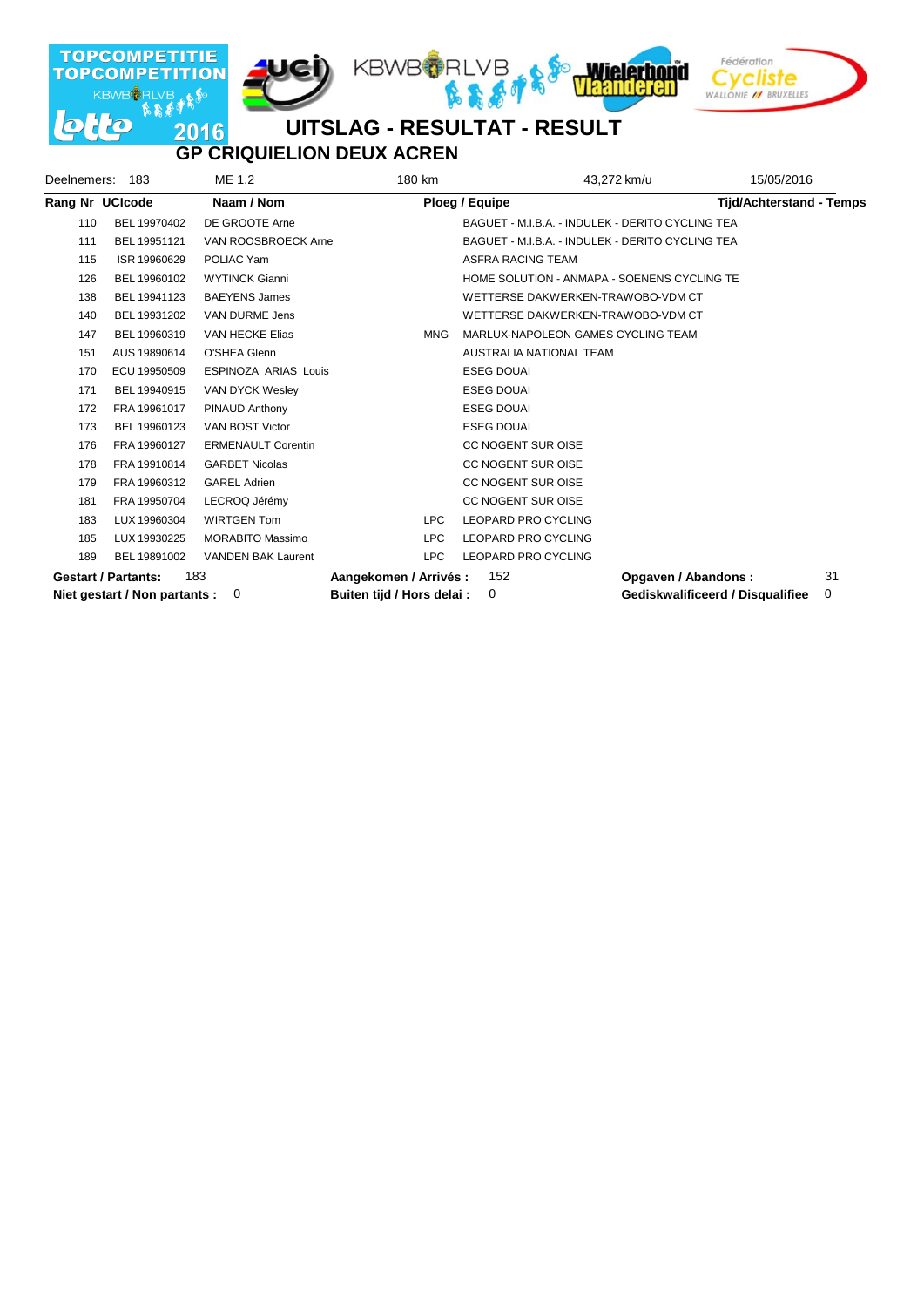

## **GP CRIQUIELION DEUX ACREN**

| Deelnemers: | 183                           | ME 1.2                      | 180 km                     | 43,272 km/u                                      | 15/05/2016                       |    |
|-------------|-------------------------------|-----------------------------|----------------------------|--------------------------------------------------|----------------------------------|----|
|             | Rang Nr UCIcode               | Naam / Nom                  |                            | Ploeg / Equipe                                   | <b>Tijd/Achterstand - Temps</b>  |    |
| 110         | BEL 19970402                  | DE GROOTE Arne              |                            | BAGUET - M.I.B.A. - INDULEK - DERITO CYCLING TEA |                                  |    |
| 111         | BEL 19951121                  | VAN ROOSBROECK Arne         |                            | BAGUET - M.I.B.A. - INDULEK - DERITO CYCLING TEA |                                  |    |
| 115         | ISR 19960629                  | POLIAC Yam                  |                            | <b>ASFRA RACING TEAM</b>                         |                                  |    |
| 126         | BEL 19960102                  | <b>WYTINCK Gianni</b>       |                            | HOME SOLUTION - ANMAPA - SOENENS CYCLING TE      |                                  |    |
| 138         | BEL 19941123                  | <b>BAEYENS James</b>        |                            | WETTERSE DAKWERKEN-TRAWOBO-VDM CT                |                                  |    |
| 140         | BEL 19931202                  | VAN DURME Jens              |                            | WETTERSE DAKWERKEN-TRAWOBO-VDM CT                |                                  |    |
| 147         | BEL 19960319                  | VAN HECKE Elias             | <b>MNG</b>                 | MARLUX-NAPOLEON GAMES CYCLING TEAM               |                                  |    |
| 151         | AUS 19890614                  | O'SHEA Glenn                |                            | AUSTRALIA NATIONAL TEAM                          |                                  |    |
| 170         | ECU 19950509                  | <b>ESPINOZA ARIAS Louis</b> |                            | <b>ESEG DOUAI</b>                                |                                  |    |
| 171         | BEL 19940915                  | VAN DYCK Wesley             |                            | <b>ESEG DOUAI</b>                                |                                  |    |
| 172         | FRA 19961017                  | PINAUD Anthony              |                            | <b>ESEG DOUAI</b>                                |                                  |    |
| 173         | BEL 19960123                  | VAN BOST Victor             |                            | <b>ESEG DOUAI</b>                                |                                  |    |
| 176         | FRA 19960127                  | <b>ERMENAULT Corentin</b>   |                            | <b>CC NOGENT SUR OISE</b>                        |                                  |    |
| 178         | FRA 19910814                  | <b>GARBET Nicolas</b>       |                            | <b>CC NOGENT SUR OISE</b>                        |                                  |    |
| 179         | FRA 19960312                  | <b>GAREL Adrien</b>         |                            | <b>CC NOGENT SUR OISE</b>                        |                                  |    |
| 181         | FRA 19950704                  | LECROQ Jérémy               |                            | CC NOGENT SUR OISE                               |                                  |    |
| 183         | LUX 19960304                  | <b>WIRTGEN Tom</b>          | <b>LPC</b>                 | LEOPARD PRO CYCLING                              |                                  |    |
| 185         | LUX 19930225                  | <b>MORABITO Massimo</b>     | <b>LPC</b>                 | <b>LEOPARD PRO CYCLING</b>                       |                                  |    |
| 189         | BEL 19891002                  | <b>VANDEN BAK Laurent</b>   | <b>LPC</b>                 | <b>LEOPARD PRO CYCLING</b>                       |                                  |    |
|             | <b>Gestart / Partants:</b>    | 183                         | Aangekomen / Arrivés :     | 152                                              | Opgaven / Abandons:              | 31 |
|             | Niet gestart / Non partants : | 0                           | Buiten tijd / Hors delai : | $\Omega$                                         | Gediskwalificeerd / Disqualifiee | 0  |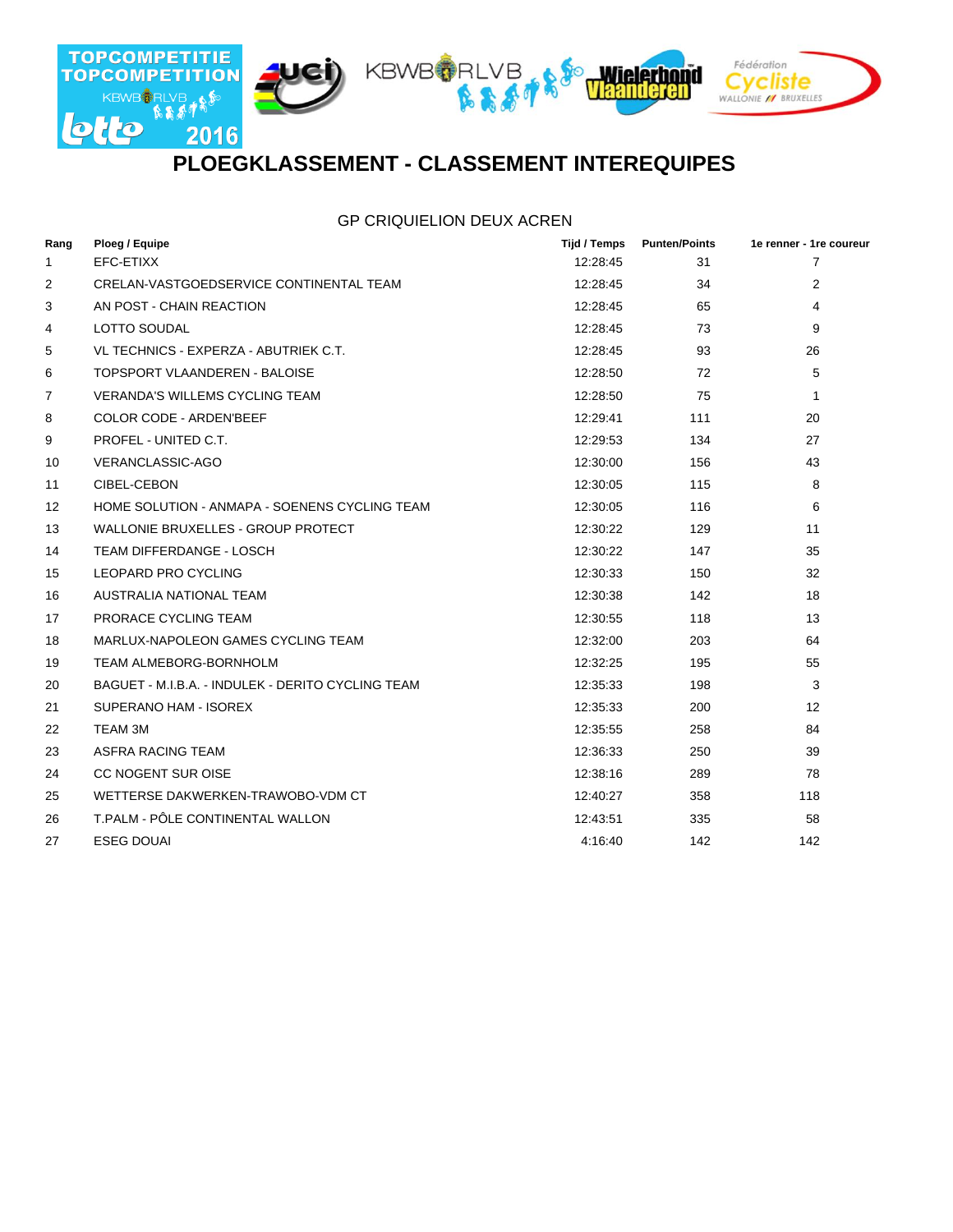

### **PLOEGKLASSEMENT - CLASSEMENT INTEREQUIPES**

#### GP CRIQUIELION DEUX ACREN

| Rang           | Ploeg / Equipe                                    | Tijd / Temps | <b>Punten/Points</b> | 1e renner - 1re coureur |
|----------------|---------------------------------------------------|--------------|----------------------|-------------------------|
| 1              | EFC-ETIXX                                         | 12:28:45     | 31                   | 7                       |
| 2              | CRELAN-VASTGOEDSERVICE CONTINENTAL TEAM           | 12:28:45     | 34                   | $\overline{2}$          |
| 3              | AN POST - CHAIN REACTION                          | 12:28:45     | 65                   | 4                       |
| 4              | <b>LOTTO SOUDAL</b>                               | 12:28:45     | 73                   | 9                       |
| 5              | VL TECHNICS - EXPERZA - ABUTRIEK C.T.             | 12:28:45     | 93                   | 26                      |
| 6              | TOPSPORT VLAANDEREN - BALOISE                     | 12:28:50     | 72                   | 5                       |
| $\overline{7}$ | <b>VERANDA'S WILLEMS CYCLING TEAM</b>             | 12:28:50     | 75                   | 1                       |
| 8              | <b>COLOR CODE - ARDEN'BEEF</b>                    | 12:29:41     | 111                  | 20                      |
| 9              | PROFEL - UNITED C.T.                              | 12:29:53     | 134                  | 27                      |
| 10             | <b>VERANCLASSIC-AGO</b>                           | 12:30:00     | 156                  | 43                      |
| 11             | CIBEL-CEBON                                       | 12:30:05     | 115                  | 8                       |
| 12             | HOME SOLUTION - ANMAPA - SOENENS CYCLING TEAM     | 12:30:05     | 116                  | 6                       |
| 13             | WALLONIE BRUXELLES - GROUP PROTECT                | 12:30:22     | 129                  | 11                      |
| 14             | TEAM DIFFERDANGE - LOSCH                          | 12:30:22     | 147                  | 35                      |
| 15             | LEOPARD PRO CYCLING                               | 12:30:33     | 150                  | 32                      |
| 16             | AUSTRALIA NATIONAL TEAM                           | 12:30:38     | 142                  | 18                      |
| 17             | PRORACE CYCLING TEAM                              | 12:30:55     | 118                  | 13                      |
| 18             | MARLUX-NAPOLEON GAMES CYCLING TEAM                | 12:32:00     | 203                  | 64                      |
| 19             | <b>TEAM ALMEBORG-BORNHOLM</b>                     | 12:32:25     | 195                  | 55                      |
| 20             | BAGUET - M.I.B.A. - INDULEK - DERITO CYCLING TEAM | 12:35:33     | 198                  | 3                       |
| 21             | SUPERANO HAM - ISOREX                             | 12:35:33     | 200                  | 12                      |
| 22             | TEAM 3M                                           | 12:35:55     | 258                  | 84                      |
| 23             | ASFRA RACING TEAM                                 | 12:36:33     | 250                  | 39                      |
| 24             | <b>CC NOGENT SUR OISE</b>                         | 12:38:16     | 289                  | 78                      |
| 25             | WETTERSE DAKWERKEN-TRAWOBO-VDM CT                 | 12:40:27     | 358                  | 118                     |
| 26             | T.PALM - PÔLE CONTINENTAL WALLON                  | 12:43:51     | 335                  | 58                      |
| 27             | <b>ESEG DOUAL</b>                                 | 4:16:40      | 142                  | 142                     |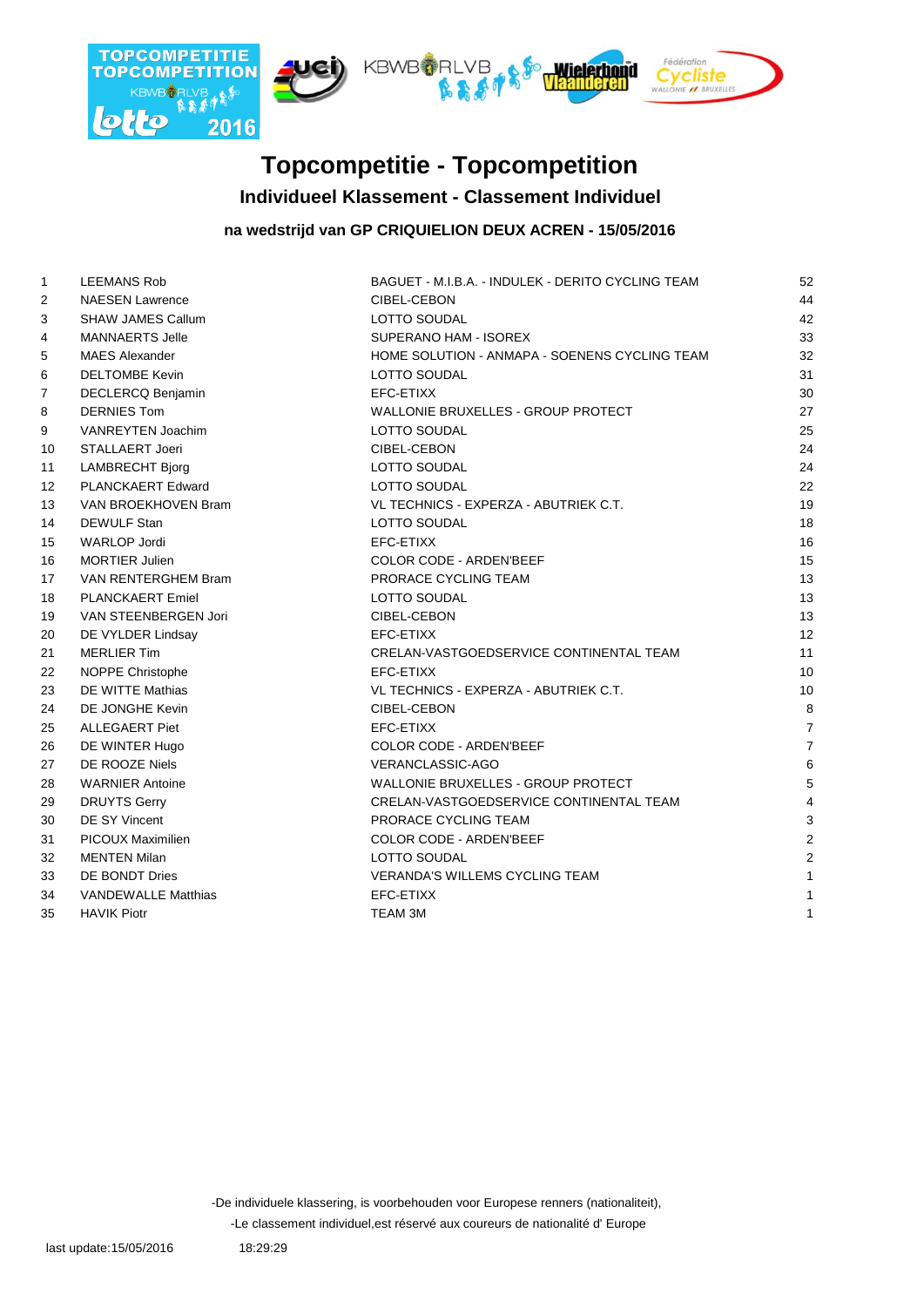

### **Individueel Klassement - Classement Individuel Topcompetitie - Topcompetition**

#### **na wedstrijd van GP CRIQUIELION DEUX ACREN - 15/05/2016**

| $\mathbf{1}$    | <b>LEEMANS Rob</b>         | BAGUET - M.I.B.A. - INDULEK - DERITO CYCLING TEAM | 52              |
|-----------------|----------------------------|---------------------------------------------------|-----------------|
| 2               | <b>NAESEN Lawrence</b>     | CIBEL-CEBON                                       | 44              |
| 3               | <b>SHAW JAMES Callum</b>   | LOTTO SOUDAL                                      | 42              |
| 4               | <b>MANNAERTS Jelle</b>     | SUPERANO HAM - ISOREX                             | 33              |
| 5               | <b>MAES Alexander</b>      | HOME SOLUTION - ANMAPA - SOENENS CYCLING TEAM     | 32              |
| 6               | <b>DELTOMBE Kevin</b>      | LOTTO SOUDAL                                      | 31              |
| 7               | DECLERCQ Benjamin          | EFC-ETIXX                                         | 30              |
| 8               | <b>DERNIES Tom</b>         | WALLONIE BRUXELLES - GROUP PROTECT                | 27              |
| 9               | VANREYTEN Joachim          | LOTTO SOUDAL                                      | 25              |
| 10              | STALLAERT Joeri            | CIBEL-CEBON                                       | 24              |
| 11              | <b>LAMBRECHT Bjorg</b>     | LOTTO SOUDAL                                      | 24              |
| 12 <sup>°</sup> | <b>PLANCKAERT Edward</b>   | LOTTO SOUDAL                                      | 22              |
| 13              | VAN BROEKHOVEN Bram        | VL TECHNICS - EXPERZA - ABUTRIEK C.T.             | 19              |
| 14              | <b>DEWULF Stan</b>         | <b>LOTTO SOUDAL</b>                               | 18              |
| 15              | <b>WARLOP Jordi</b>        | EFC-ETIXX                                         | 16              |
| 16              | <b>MORTIER Julien</b>      | COLOR CODE - ARDEN'BEEF                           | 15              |
| 17              | VAN RENTERGHEM Bram        | PRORACE CYCLING TEAM                              | 13              |
| 18              | <b>PLANCKAERT Emiel</b>    | LOTTO SOUDAL                                      | 13              |
| 19              | VAN STEENBERGEN Jori       | CIBEL-CEBON                                       | 13              |
| 20              | DE VYLDER Lindsay          | EFC-ETIXX                                         | 12              |
| 21              | <b>MERLIER Tim</b>         | CRELAN-VASTGOEDSERVICE CONTINENTAL TEAM           | 11              |
| 22              | <b>NOPPE Christophe</b>    | EFC-ETIXX                                         | 10              |
| 23              | DE WITTE Mathias           | VL TECHNICS - EXPERZA - ABUTRIEK C.T.             | 10              |
| 24              | DE JONGHE Kevin            | CIBEL-CEBON                                       | 8               |
| 25              | ALLEGAERT Piet             | EFC-ETIXX                                         | $\overline{7}$  |
| 26              | DE WINTER Hugo             | <b>COLOR CODE - ARDEN'BEEF</b>                    | $\overline{7}$  |
| 27              | DE ROOZE Niels             | VERANCLASSIC-AGO                                  | $6\phantom{1}6$ |
| 28              | <b>WARNIER Antoine</b>     | <b>WALLONIE BRUXELLES - GROUP PROTECT</b>         | 5               |
| 29              | <b>DRUYTS Gerry</b>        | CRELAN-VASTGOEDSERVICE CONTINENTAL TEAM           | $\overline{4}$  |
| 30              | <b>DE SY Vincent</b>       | PRORACE CYCLING TEAM                              | 3               |
| 31              | <b>PICOUX Maximilien</b>   | COLOR CODE - ARDEN'BEEF                           | $\overline{2}$  |
| 32              | <b>MENTEN Milan</b>        | <b>LOTTO SOUDAL</b>                               | $\overline{2}$  |
| 33              | DE BONDT Dries             | <b>VERANDA'S WILLEMS CYCLING TEAM</b>             | $\mathbf{1}$    |
| 34              | <b>VANDEWALLE Matthias</b> | EFC-ETIXX                                         | $\mathbf{1}$    |
| 35              | <b>HAVIK Piotr</b>         | TEAM 3M                                           | $\mathbf{1}$    |
|                 |                            |                                                   |                 |

-De individuele klassering, is voorbehouden voor Europese renners (nationaliteit),

-Le classement individuel,est réservé aux coureurs de nationalité d' Europe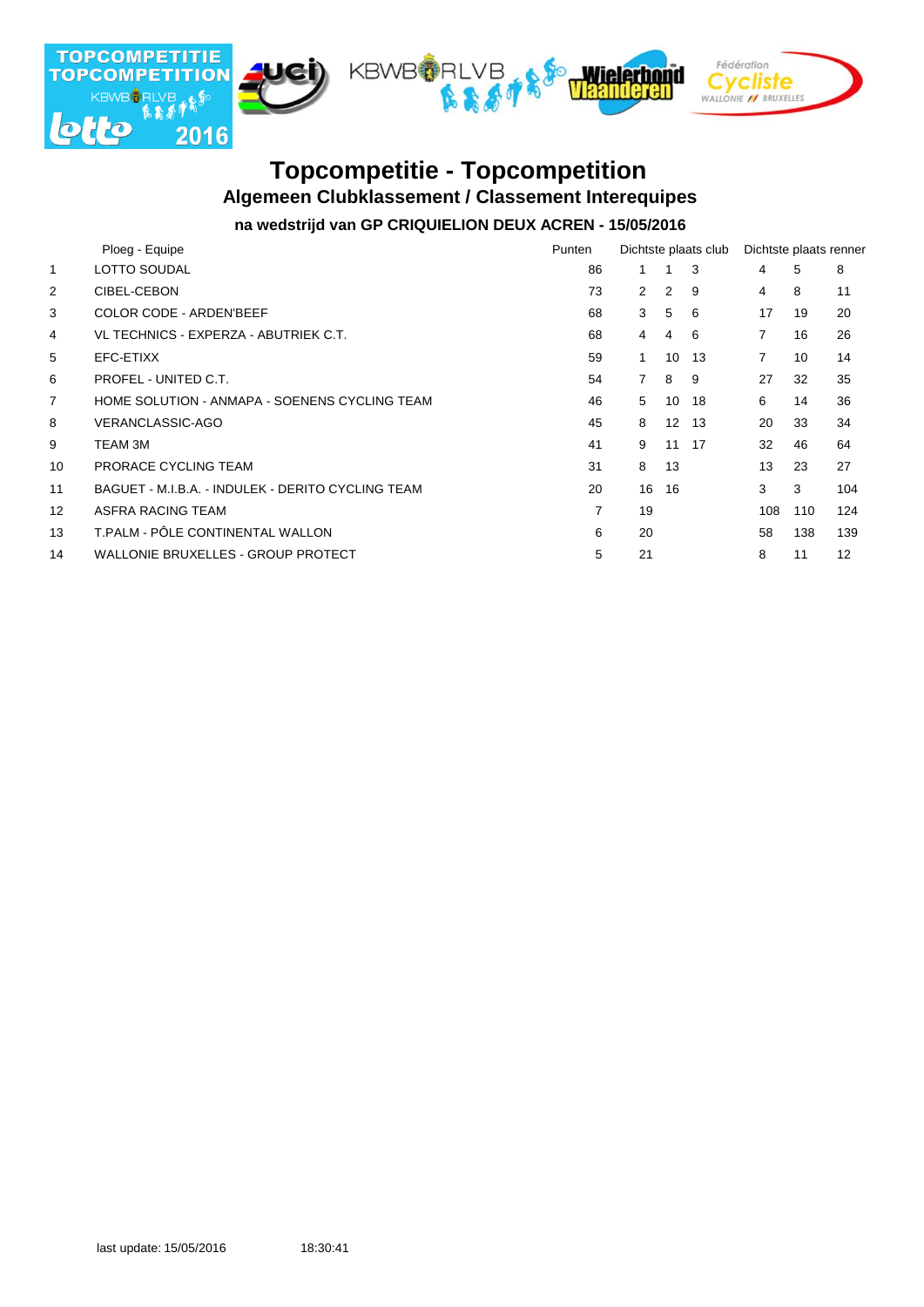

### **Algemeen Clubklassement / Classement Interequipes Topcompetitie - Topcompetition**

### **na wedstrijd van GP CRIQUIELION DEUX ACREN - 15/05/2016**

|                | Ploeg - Equipe                                    | Punten |                      |       | Dichtste plaats club | Dichtste plaats renner |                 |     |
|----------------|---------------------------------------------------|--------|----------------------|-------|----------------------|------------------------|-----------------|-----|
| 1              | LOTTO SOUDAL                                      | 86     | 1                    | 1     | 3                    | 4                      | 5               | 8   |
| $\overline{2}$ | CIBEL-CEBON                                       | 73     | $\mathbf{2}^{\circ}$ | 2     | 9                    | 4                      | 8               | 11  |
| 3              | <b>COLOR CODE - ARDEN'BEEF</b>                    | 68     | 3                    | 5     | 6                    | 17                     | 19              | 20  |
| 4              | VL TECHNICS - EXPERZA - ABUTRIEK C.T.             | 68     | $\overline{4}$       | 4     | -6                   | 7                      | 16              | 26  |
| 5              | EFC-ETIXX                                         | 59     | 1.                   | 10    | 13                   | $\overline{7}$         | 10 <sup>1</sup> | 14  |
| 6              | PROFEL - UNITED C.T.                              | 54     | $\overline{7}$       | 8     | 9                    | 27                     | 32              | 35  |
| 7              | HOME SOLUTION - ANMAPA - SOENENS CYCLING TEAM     | 46     | 5                    | 10    | 18                   | 6                      | 14              | 36  |
| 8              | <b>VERANCLASSIC-AGO</b>                           | 45     | 8                    | 12    | 13                   | 20                     | 33              | 34  |
| 9              | TEAM 3M                                           | 41     | 9                    | 11 17 |                      | 32                     | 46              | 64  |
| 10             | PRORACE CYCLING TEAM                              | 31     | 8                    | 13    |                      | 13                     | 23              | 27  |
| 11             | BAGUET - M.I.B.A. - INDULEK - DERITO CYCLING TEAM | 20     | 16                   | 16    |                      | 3                      | 3               | 104 |
| 12             | ASFRA RACING TEAM                                 | 7      | 19                   |       |                      | 108                    | 110             | 124 |
| 13             | T.PALM - PÔLE CONTINENTAL WALLON                  | 6      | 20                   |       |                      | 58                     | 138             | 139 |
| 14             | <b>WALLONIE BRUXELLES - GROUP PROTECT</b>         | 5      | 21                   |       |                      | 8                      | 11              | 12  |